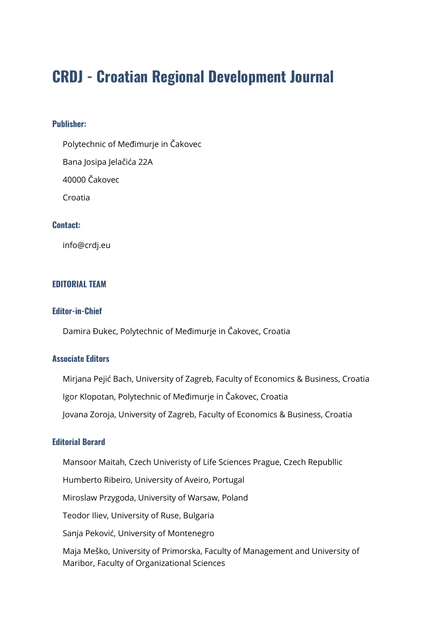# **CRDJ - Croatian Regional Development Journal**

#### **Publisher:**

Polytechnic of Međimurje in Čakovec

Bana Josipa Jelačića 22A

40000 Čakovec

Croatia

## **Contact:**

info@crdj.eu

#### **EDITORIAL TEAM**

### **Editor-in-Chief**

Damira Đukec, Polytechnic of Međimurje in Čakovec, Croatia

#### **Associate Editors**

Mirjana Pejić Bach, University of Zagreb, Faculty of Economics & Business, Croatia Igor Klopotan, Polytechnic of Međimurje in Čakovec, Croatia Jovana Zoroja, University of Zagreb, Faculty of Economics & Business, Croatia

#### **Editorial Borard**

Mansoor Maitah, Czech Univeristy of Life Sciences Prague, Czech Republlic

Humberto Ribeiro, University of Aveiro, Portugal

Miroslaw Przygoda, University of Warsaw, Poland

Teodor Iliev, University of Ruse, Bulgaria

Sanja Peković, University of Montenegro

Maja Meško, University of Primorska, Faculty of Management and University of Maribor, Faculty of Organizational Sciences